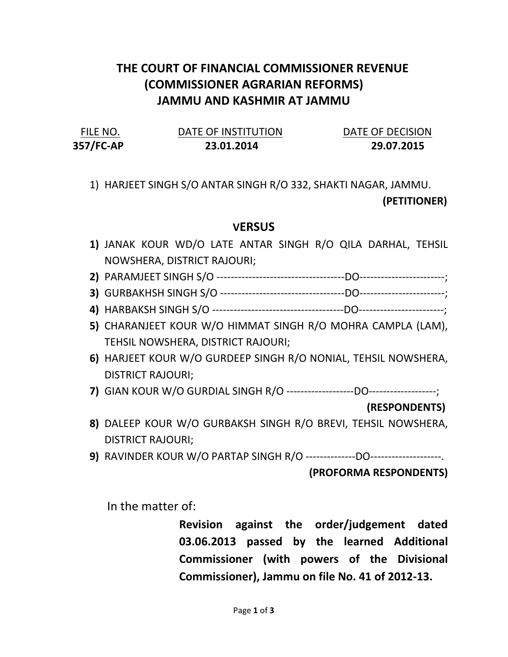## THE COURT OF FINANCIAL COMMISSIONER REVENUE (COMMISSIONER AGRARIAN REFORMS) JAMMU AND KASHMIR AT JAMMU

| FILE NO.  | DATE OF INSTITUTION | DATE OF DECISION |
|-----------|---------------------|------------------|
| 357/FC-AP | 23.01.2014          | 29.07.2015       |

1) HARJEET SINGH S/O ANTAR SINGH R/O 332, SHAKTI NAGAR, JAMMU.

(PETITIONER)

## **VERSUS**

- 1) JANAK KOUR WD/O LATE ANTAR SINGH R/O QILA DARHAL, TEHSIL NOWSHERA, DISTRICT RAJOURI;
- 2) PARAMJEET SINGH S/O ------------------------------------DO------------------------;
- 3) GURBAKHSH SINGH S/O -----------------------------------DO------------------------;
- 4) HARBAKSH SINGH S/O -------------------------------------DO------------------------;
- 5) CHARANJEET KOUR W/O HIMMAT SINGH R/O MOHRA CAMPLA (LAM), TEHSIL NOWSHERA, DISTRICT RAJOURI;
- 6) HARJEET KOUR W/O GURDEEP SINGH R/O NONIAL, TEHSIL NOWSHERA, DISTRICT RAJOURI;
- 7) GIAN KOUR W/O GURDIAL SINGH R/O -------------------DO-------------------;

## (RESPONDENTS)

- 8) DALEEP KOUR W/O GURBAKSH SINGH R/O BREVI, TEHSIL NOWSHERA, DISTRICT RAJOURI;
- 9) RAVINDER KOUR W/O PARTAP SINGH R/O --------------DO--------------------.

(PROFORMA RESPONDENTS)

In the matter of:

Revision against the order/judgement dated 03.06.2013 passed by the learned Additional Commissioner (with powers of the Divisional Commissioner), Jammu on file No. 41 of 2012-13.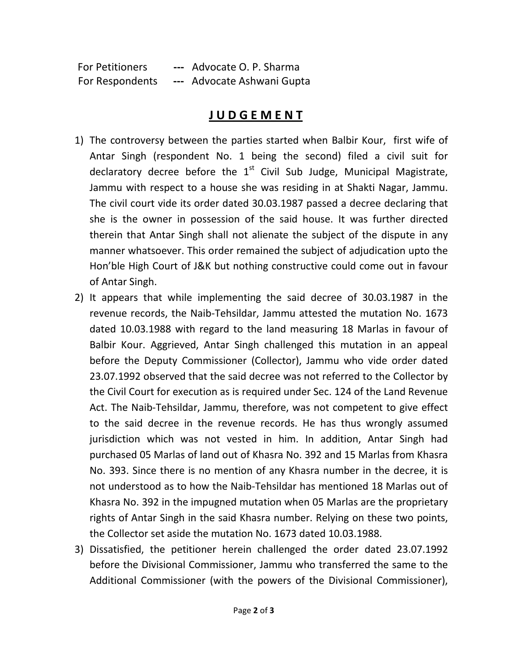For Petitioners --- Advocate O. P. Sharma For Respondents --- Advocate Ashwani Gupta

## J U D G E M E N T

- 1) The controversy between the parties started when Balbir Kour, first wife of Antar Singh (respondent No. 1 being the second) filed a civil suit for declaratory decree before the  $1<sup>st</sup>$  Civil Sub Judge, Municipal Magistrate, Jammu with respect to a house she was residing in at Shakti Nagar, Jammu. The civil court vide its order dated 30.03.1987 passed a decree declaring that she is the owner in possession of the said house. It was further directed therein that Antar Singh shall not alienate the subject of the dispute in any manner whatsoever. This order remained the subject of adjudication upto the Hon'ble High Court of J&K but nothing constructive could come out in favour of Antar Singh.
- 2) It appears that while implementing the said decree of 30.03.1987 in the revenue records, the Naib-Tehsildar, Jammu attested the mutation No. 1673 dated 10.03.1988 with regard to the land measuring 18 Marlas in favour of Balbir Kour. Aggrieved, Antar Singh challenged this mutation in an appeal before the Deputy Commissioner (Collector), Jammu who vide order dated 23.07.1992 observed that the said decree was not referred to the Collector by the Civil Court for execution as is required under Sec. 124 of the Land Revenue Act. The Naib-Tehsildar, Jammu, therefore, was not competent to give effect to the said decree in the revenue records. He has thus wrongly assumed jurisdiction which was not vested in him. In addition, Antar Singh had purchased 05 Marlas of land out of Khasra No. 392 and 15 Marlas from Khasra No. 393. Since there is no mention of any Khasra number in the decree, it is not understood as to how the Naib-Tehsildar has mentioned 18 Marlas out of Khasra No. 392 in the impugned mutation when 05 Marlas are the proprietary rights of Antar Singh in the said Khasra number. Relying on these two points, the Collector set aside the mutation No. 1673 dated 10.03.1988.
- 3) Dissatisfied, the petitioner herein challenged the order dated 23.07.1992 before the Divisional Commissioner, Jammu who transferred the same to the Additional Commissioner (with the powers of the Divisional Commissioner),